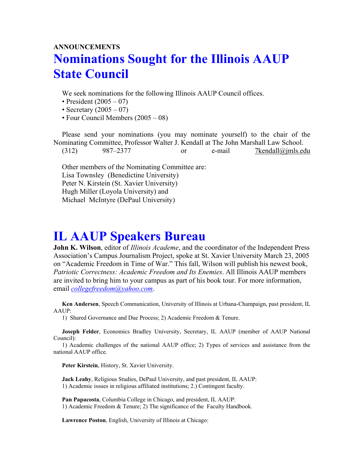## **ANNOUNCEMENTS Nominations Sought for the Illinois AAUP State Council**

We seek nominations for the following Illinois AAUP Council offices.

- President  $(2005 07)$
- Secretary  $(2005 07)$
- Four Council Members (2005 08)

Please send your nominations (you may nominate yourself) to the chair of the Nominating Committee, Professor Walter J. Kendall at The John Marshall Law School.

 $(312)$  987–2377 or e-mail 7kendall@jmls.edu

Other members of the Nominating Committee are: Lisa Townsley (Benedictine University) Peter N. Kirstein (St. Xavier University) Hugh Miller (Loyola University) and Michael McIntyre (DePaul University)

## **IL AAUP Speakers Bureau**

**John K. Wilson**, editor of *Illinois Academe*, and the coordinator of the Independent Press Association's Campus Journalism Project, spoke at St. Xavier University March 23, 2005 on "Academic Freedom in Time of War." This fall, Wilson will publish his newest book, *Patriotic Correctness: Academic Freedom and Its Enemies*. All Illinois AAUP members are invited to bring him to your campus as part of his book tour. For more information, email *[collegefreedom@yahoo.com](mailto:collegefreedom@yahoo.com)*.

**Ken Andersen**, Speech Communication, University of Illinois at Urbana-Champaign, past president, IL AAUP:

1) Shared Governance and Due Process; 2) Academic Freedom & Tenure.

**Joseph Felder**, Economics Bradley University, Secretary, IL AAUP (member of AAUP National Council):

1) Academic challenges of the national AAUP office; 2) Types of services and assistance from the national AAUP office.

**Peter Kirstein**, History, St. Xavier University.

**Jack Leahy**, Religious Studies, DePaul University, and past president, IL AAUP: 1) Academic issues in religious affiliated institutions; 2.) Contingent faculty.

**Pan Papacosta**, Columbia College in Chicago, and president, IL AAUP: 1) Academic Freedom & Tenure; 2) The significance of the Faculty Handbook.

**Lawrence Poston**, English, University of Illinois at Chicago: